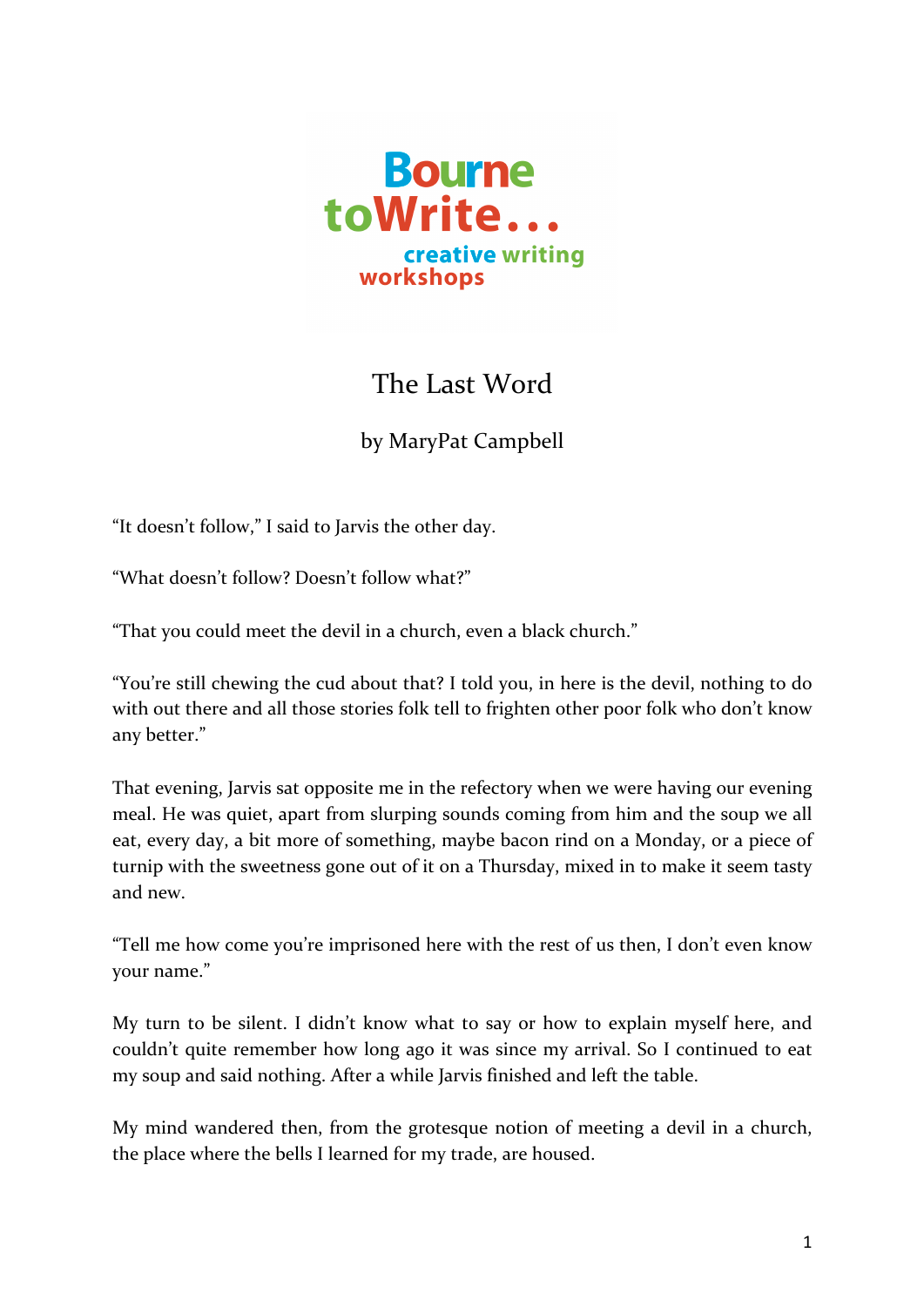

## The Last Word

## by MaryPat Campbell

"It doesn't follow," I said to Jarvis the other day.

"What doesn't follow? Doesn't follow what?"

"That you could meet the devil in a church, even a black church."

"You're still chewing the cud about that? I told you, in here is the devil, nothing to do with out there and all those stories folk tell to frighten other poor folk who don't know any better."

That evening, Jarvis sat opposite me in the refectory when we were having our evening meal. He was quiet, apart from slurping sounds coming from him and the soup we all eat, every day, a bit more of something, maybe bacon rind on a Monday, or a piece of turnip with the sweetness gone out of it on a Thursday, mixed in to make it seem tasty and new.

"Tell me how come you're imprisoned here with the rest of us then, I don't even know your name."

My turn to be silent. I didn't know what to say or how to explain myself here, and couldn't quite remember how long ago it was since my arrival. So I continued to eat my soup and said nothing. After a while Jarvis finished and left the table.

My mind wandered then, from the grotesque notion of meeting a devil in a church, the place where the bells I learned for my trade, are housed.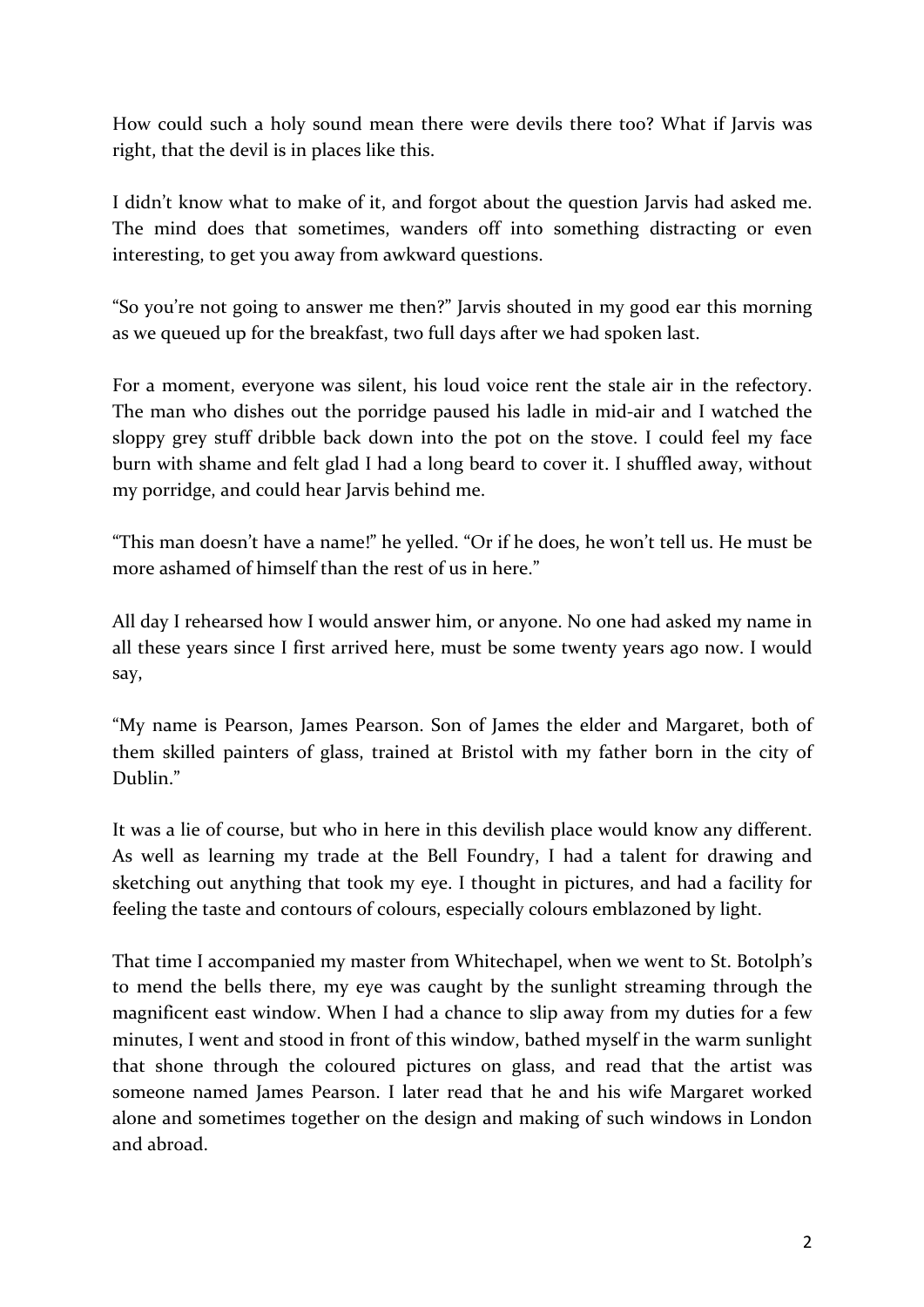How could such a holy sound mean there were devils there too? What if Jarvis was right, that the devil is in places like this.

I didn't know what to make of it, and forgot about the question Jarvis had asked me. The mind does that sometimes, wanders off into something distracting or even interesting, to get you away from awkward questions.

"So you're not going to answer me then?" Jarvis shouted in my good ear this morning as we queued up for the breakfast, two full days after we had spoken last.

For a moment, everyone was silent, his loud voice rent the stale air in the refectory. The man who dishes out the porridge paused his ladle in mid-air and I watched the sloppy grey stuff dribble back down into the pot on the stove. I could feel my face burn with shame and felt glad I had a long beard to cover it. I shuffled away, without my porridge, and could hear Jarvis behind me.

"This man doesn't have a name!" he yelled. "Or if he does, he won't tell us. He must be more ashamed of himself than the rest of us in here."

All day I rehearsed how I would answer him, or anyone. No one had asked my name in all these years since I first arrived here, must be some twenty years ago now. I would say, 

"My name is Pearson, James Pearson. Son of James the elder and Margaret, both of them skilled painters of glass, trained at Bristol with my father born in the city of Dublin<sup>"</sup>

It was a lie of course, but who in here in this devilish place would know any different. As well as learning my trade at the Bell Foundry, I had a talent for drawing and sketching out anything that took my eye. I thought in pictures, and had a facility for feeling the taste and contours of colours, especially colours emblazoned by light.

That time I accompanied my master from Whitechapel, when we went to St. Botolph's to mend the bells there, my eye was caught by the sunlight streaming through the magnificent east window. When I had a chance to slip away from my duties for a few minutes, I went and stood in front of this window, bathed myself in the warm sunlight that shone through the coloured pictures on glass, and read that the artist was someone named James Pearson. I later read that he and his wife Margaret worked alone and sometimes together on the design and making of such windows in London and abroad.